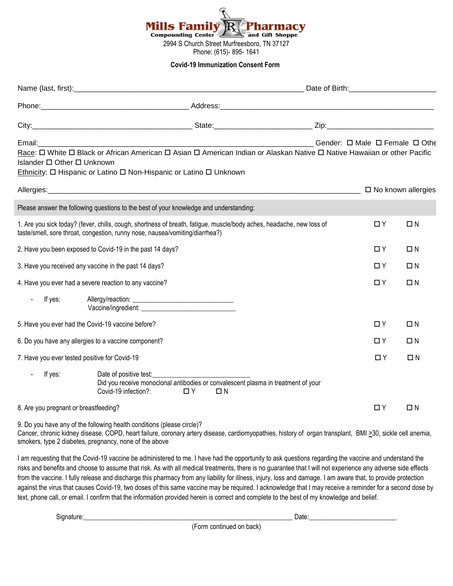

## **Covid-19 Immunization Consent Form**

| Islander □ Other □ Unknown                    | Ethnicity: O Hispanic or Latino O Non-Hispanic or Latino O Unknown                                                               |          | Email: Communication of the Communication of the Communication of the Communication of the Communication of the Communication of the Communication of the Communication of the Communication of the Communication of the Commu<br>Race: $\Box$ White $\Box$ Black or African American $\Box$ Asian $\Box$ American Indian or Alaskan Native $\Box$ Native Hawaiian or other Pacific                                                                                                                                                                                                                                                                                                                                                                                                              |          |          |
|-----------------------------------------------|----------------------------------------------------------------------------------------------------------------------------------|----------|--------------------------------------------------------------------------------------------------------------------------------------------------------------------------------------------------------------------------------------------------------------------------------------------------------------------------------------------------------------------------------------------------------------------------------------------------------------------------------------------------------------------------------------------------------------------------------------------------------------------------------------------------------------------------------------------------------------------------------------------------------------------------------------------------|----------|----------|
|                                               |                                                                                                                                  |          |                                                                                                                                                                                                                                                                                                                                                                                                                                                                                                                                                                                                                                                                                                                                                                                                  |          |          |
|                                               | Please answer the following questions to the best of your knowledge and understanding:                                           |          |                                                                                                                                                                                                                                                                                                                                                                                                                                                                                                                                                                                                                                                                                                                                                                                                  |          |          |
|                                               | taste/smell, sore throat, congestion, runny nose, nausea/vomiting/diarrhea?)                                                     |          | 1. Are you sick today? (fever, chills, cough, shortness of breath, fatigue, muscle/body aches, headache, new loss of                                                                                                                                                                                                                                                                                                                                                                                                                                                                                                                                                                                                                                                                             | $\Box$ Y | $\Box N$ |
|                                               | 2. Have you been exposed to Covid-19 in the past 14 days?                                                                        |          |                                                                                                                                                                                                                                                                                                                                                                                                                                                                                                                                                                                                                                                                                                                                                                                                  | $\Box$ Y | $\Box N$ |
|                                               | 3. Have you received any vaccine in the past 14 days?                                                                            |          |                                                                                                                                                                                                                                                                                                                                                                                                                                                                                                                                                                                                                                                                                                                                                                                                  | $\Box$ Y | $\Box N$ |
|                                               | 4. Have you ever had a severe reaction to any vaccine?                                                                           |          |                                                                                                                                                                                                                                                                                                                                                                                                                                                                                                                                                                                                                                                                                                                                                                                                  | $\Box$ Y | $\Box N$ |
| If yes:                                       |                                                                                                                                  |          |                                                                                                                                                                                                                                                                                                                                                                                                                                                                                                                                                                                                                                                                                                                                                                                                  |          |          |
|                                               | 5. Have you ever had the Covid-19 vaccine before?                                                                                |          |                                                                                                                                                                                                                                                                                                                                                                                                                                                                                                                                                                                                                                                                                                                                                                                                  | $\Box$ Y | $\Box N$ |
|                                               | 6. Do you have any allergies to a vaccine component?                                                                             |          |                                                                                                                                                                                                                                                                                                                                                                                                                                                                                                                                                                                                                                                                                                                                                                                                  | $\Box$ Y | $\Box N$ |
| 7. Have you ever tested positive for Covid-19 |                                                                                                                                  |          |                                                                                                                                                                                                                                                                                                                                                                                                                                                                                                                                                                                                                                                                                                                                                                                                  | ΠY       | $\Box N$ |
| If yes:<br>$\blacksquare$                     | Date of positive test:<br>Covid-19 infection?:                                                                                   | $\Box$ Y | Did you receive monoclonal antibodies or convalescent plasma in treatment of your<br>$\Box N$                                                                                                                                                                                                                                                                                                                                                                                                                                                                                                                                                                                                                                                                                                    |          |          |
| 8. Are you pregnant or breastfeeding?         |                                                                                                                                  |          |                                                                                                                                                                                                                                                                                                                                                                                                                                                                                                                                                                                                                                                                                                                                                                                                  | $\Box$ Y | $\Box N$ |
|                                               | 9. Do you have any of the following health conditions (please circle)?<br>smokers, type 2 diabetes, pregnancy, none of the above |          | Cancer, chronic kidney disease, COPD, heart failure, coronary artery disease, cardiomyopathies, history of organ transplant, BMI >30, sickle cell anemia,                                                                                                                                                                                                                                                                                                                                                                                                                                                                                                                                                                                                                                        |          |          |
|                                               |                                                                                                                                  |          | I am requesting that the Covid-19 vaccine be administered to me. I have had the opportunity to ask questions regarding the vaccine and understand the<br>risks and benefits and choose to assume that risk. As with all medical treatments, there is no guarantee that I will not experience any adverse side effects<br>from the vaccine. I fully release and discharge this pharmacy from any liability for illness, injury, loss and damage. I am aware that, to provide protection<br>against the virus that causes Covid-19, two doses of this same vaccine may be required. I acknowledge that I may receive a reminder for a second dose by<br>text, phone call, or email. I confirm that the information provided herein is correct and complete to the best of my knowledge and belief. |          |          |

Signature:\_\_\_\_\_\_\_\_\_\_\_\_\_\_\_\_\_\_\_\_\_\_\_\_\_\_\_\_\_\_\_\_\_\_\_\_\_\_\_\_\_\_\_\_\_\_\_\_\_\_\_\_\_\_\_\_\_\_\_\_\_\_ Date:\_\_\_\_\_\_\_\_\_\_\_\_\_\_\_\_\_\_\_\_\_\_\_\_\_\_